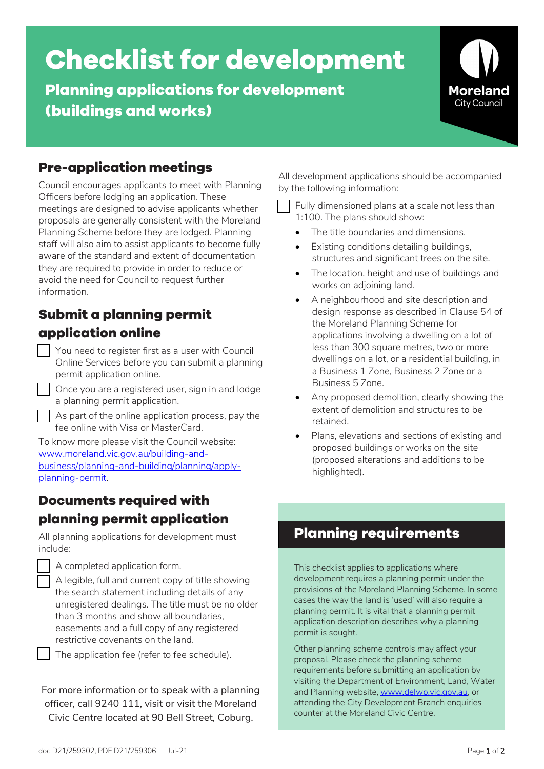# **Checklist for development**

**Planning applications for development (buildings and works)**



## **Pre-application meetings**

Council encourages applicants to meet with Planning Officers before lodging an application. These meetings are designed to advise applicants whether proposals are generally consistent with the Moreland Planning Scheme before they are lodged. Planning staff will also aim to assist applicants to become fully aware of the standard and extent of documentation they are required to provide in order to reduce or avoid the need for Council to request further information.

# **Submit a planning permit application online**

- You need to register first as a user with Council Online Services before you can submit a planning permit application online.
	- Once you are a registered user, sign in and lodge a planning permit application.
	- As part of the online application process, pay the fee online with Visa or MasterCard.

To know more please visit the Council website[:](https://www.moreland.vic.gov.au/building-and-business/planning-and-building/planning/apply-planning-permit/) [www.moreland.vic.gov.au/building-and](https://www.moreland.vic.gov.au/building-and-business/planning-and-building/planning/apply-planning-permit/)[business/planning-and-building/planning/apply](https://www.moreland.vic.gov.au/building-and-business/planning-and-building/planning/apply-planning-permit/)[planning-permit.](https://www.moreland.vic.gov.au/building-and-business/planning-and-building/planning/apply-planning-permit/) 

### **Documents required with planning permit application**

All planning applications for development must include:



 A legible, full and current copy of title showing the search statement including details of any unregistered dealings. The title must be no older than 3 months and show all boundaries, easements and a full copy of any registered restrictive covenants on the land.

The application fee (refer to fee schedule).

For more information or to speak with a planning officer, call 9240 111, visit or visit the Moreland Civic Centre located at 90 Bell Street, Coburg.

All development applications should be accompanied by the following information:

 Fully dimensioned plans at a scale not less than 1:100. The plans should show:

- The title boundaries and dimensions.
- Existing conditions detailing buildings, structures and significant trees on the site.
- The location, height and use of buildings and works on adjoining land.
- A neighbourhood and site description and design response as described in Clause 54 of the Moreland Planning Scheme for applications involving a dwelling on a lot of less than 300 square metres, two or more dwellings on a lot, or a residential building, in a Business 1 Zone, Business 2 Zone or a Business 5 Zone.
- Any proposed demolition, clearly showing the extent of demolition and structures to be retained.
- Plans, elevations and sections of existing and proposed buildings or works on the site (proposed alterations and additions to be highlighted).

# **Planning requirements**

This checklist applies to applications where development requires a planning permit under the provisions of the Moreland Planning Scheme. In some cases the way the land is 'used' will also require a planning permit. It is vital that a planning permit application description describes why a planning permit is sought.

Other planning scheme controls may affect your proposal. Please check the planning scheme requirements before submitting an application by visiting the Department of Environment, Land, Water and Planning website[, www.delwp.vic.gov.au,](https://www.delwp.vic.gov.au/) or attending the City Development Branch enquiries counter at the Moreland Civic Centre.